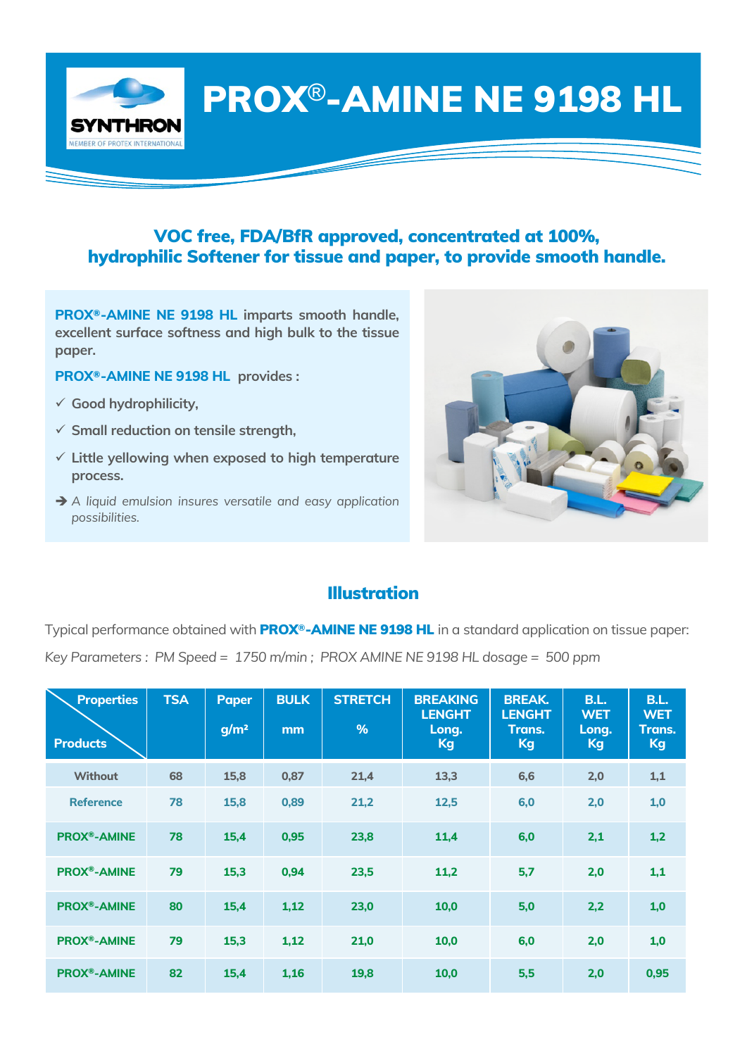PROX®-AMINE NE 9198 HL

## VOC free, FDA/BfR approved, concentrated at 100%, hydrophilic Softener for tissue and paper, to provide smooth handle.

**PROX®-AMINE NE 9198 HL imparts smooth handle, excellent surface softness and high bulk to the tissue paper.**

- **PROX®-AMINE NE 9198 HL provides :**
- ü **Good hydrophilicity,**

**SYNTHRON MEMBER OF PROTEX INTERNATION** 

- ü **Small reduction on tensile strength,**
- ü **Little yellowing when exposed to high temperature process.**
- è *A liquid emulsion insures versatile and easy application possibilities.*



## Illustration

Typical performance obtained with PROX**®**-AMINE NE 9198 HL in a standard application on tissue paper: *Key Parameters : PM Speed = 1750 m/min ; PROX AMINE NE 9198 HL dosage = 500 ppm* 

| <b>Properties</b><br><b>Products</b> | <b>TSA</b> | <b>Paper</b><br>g/m <sup>2</sup> | <b>BULK</b><br>mm | <b>STRETCH</b><br>$\frac{9}{6}$ | <b>BREAKING</b><br><b>LENGHT</b><br>Long.<br>Kg | <b>BREAK.</b><br><b>LENGHT</b><br>Trans.<br>Kg | <b>B.L.</b><br><b>WET</b><br>Long.<br>Kg | <b>B.L.</b><br><b>WET</b><br>Trans.<br>Kg |
|--------------------------------------|------------|----------------------------------|-------------------|---------------------------------|-------------------------------------------------|------------------------------------------------|------------------------------------------|-------------------------------------------|
| <b>Without</b>                       | 68         | 15,8                             | 0,87              | 21,4                            | 13,3                                            | 6,6                                            | 2,0                                      | 1,1                                       |
| <b>Reference</b>                     | 78         | 15,8                             | 0,89              | 21,2                            | 12,5                                            | 6,0                                            | 2,0                                      | 1,0                                       |
| <b>PROX®-AMINE</b>                   | 78         | 15,4                             | 0,95              | 23,8                            | 11,4                                            | 6,0                                            | 2,1                                      | 1,2                                       |
| <b>PROX®-AMINE</b>                   | 79         | 15,3                             | 0,94              | 23,5                            | 11,2                                            | 5,7                                            | 2,0                                      | 1,1                                       |
| <b>PROX®-AMINE</b>                   | 80         | 15,4                             | 1,12              | 23,0                            | 10,0                                            | 5,0                                            | 2,2                                      | 1,0                                       |
| <b>PROX®-AMINE</b>                   | 79         | 15,3                             | 1,12              | 21,0                            | 10,0                                            | 6,0                                            | 2,0                                      | 1,0                                       |
| <b>PROX®-AMINE</b>                   | 82         | 15,4                             | 1,16              | 19,8                            | 10,0                                            | 5,5                                            | 2,0                                      | 0,95                                      |